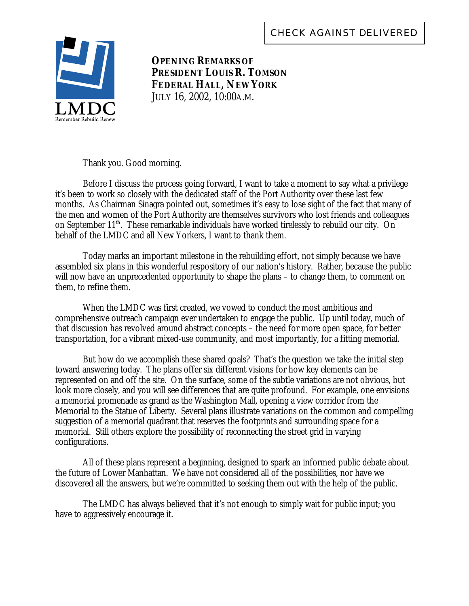

**OPENING REMARKS OF PRESIDENT LOUIS R. TOMSON FEDERAL HALL, NEW YORK** JULY 16, 2002, 10:00A.M.

Thank you. Good morning.

Before I discuss the process going forward, I want to take a moment to say what a privilege it's been to work so closely with the dedicated staff of the Port Authority over these last few months. As Chairman Sinagra pointed out, sometimes it's easy to lose sight of the fact that many of the men and women of the Port Authority are themselves survivors who lost friends and colleagues on September 11<sup>th</sup>. These remarkable individuals have worked tirelessly to rebuild our city. On behalf of the LMDC and all New Yorkers, I want to thank them.

Today marks an important milestone in the rebuilding effort, not simply because we have assembled six plans in this wonderful respository of our nation's history. Rather, because the public will now have an unprecedented opportunity to shape the plans – to change them, to comment on them, to refine them.

When the LMDC was first created, we vowed to conduct the most ambitious and comprehensive outreach campaign ever undertaken to engage the public. Up until today, much of that discussion has revolved around abstract concepts – the need for more open space, for better transportation, for a vibrant mixed-use community, and most importantly, for a fitting memorial.

But how do we accomplish these shared goals? That's the question we take the initial step toward answering today. The plans offer six different visions for how key elements can be represented on and off the site. On the surface, some of the subtle variations are not obvious, but look more closely, and you will see differences that are quite profound. For example, one envisions a memorial promenade as grand as the Washington Mall, opening a view corridor from the Memorial to the Statue of Liberty. Several plans illustrate variations on the common and compelling suggestion of a memorial quadrant that reserves the footprints and surrounding space for a memorial. Still others explore the possibility of reconnecting the street grid in varying configurations.

All of these plans represent a beginning, designed to spark an informed public debate about the future of Lower Manhattan. We have not considered all of the possibilities, nor have we discovered all the answers, but we're committed to seeking them out with the help of the public.

The LMDC has always believed that it's not enough to simply wait for public input; you have to aggressively encourage it.